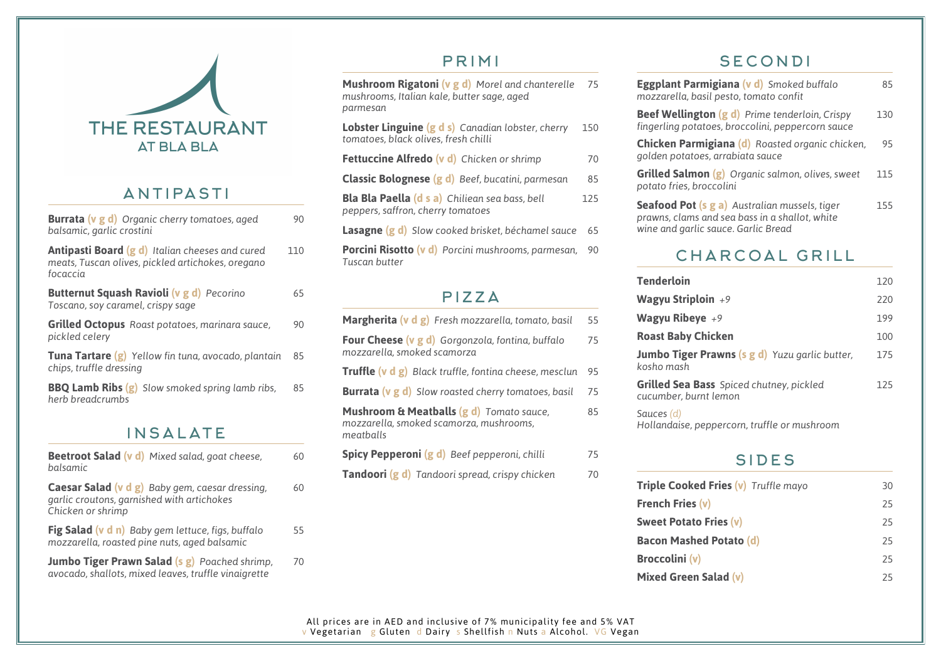

#### ANTIPASTI

| <b>Burrata (v g d)</b> Organic cherry tomatoes, aged<br>balsamic, garlic crostini                                       | 90  |  |
|-------------------------------------------------------------------------------------------------------------------------|-----|--|
| <b>Antipasti Board (g d)</b> Italian cheeses and cured<br>meats, Tuscan olives, pickled artichokes, oregano<br>focaccia | 110 |  |
| <b>Butternut Squash Ravioli (v g d)</b> Pecorino<br>Toscano, soy caramel, crispy sage                                   | 65  |  |
| <b>Grilled Octopus</b> Roast potatoes, marinara sauce,<br>pickled celery                                                | 90  |  |
| <b>Tuna Tartare (g)</b> Yellow fin tuna, avocado, plantain<br>chips, truffle dressing                                   | 85  |  |
| <b>BBQ Lamb Ribs (g)</b> Slow smoked spring lamb ribs,<br>herb breadcrumbs                                              | 85  |  |
| INSALATE                                                                                                                |     |  |

#### **Beetroot Salad (v d)** Mixed salad, goat cheese, 60 *balsamic* **Caesar Salad (v d g)** Baby gem, caesar dressing, 60 *garlic croutons, garnished with artichokes Chicken or shrimp* **Fig Salad (v d n)** *Baby gem lettuce, figs, buffalo* 55 *mozzarella, roasted pine nuts, aged balsamic* **Jumbo Tiger Prawn Salad (s g)** Poached shrimp, 70 *avocado, shallots, mixed leaves, truffle vinaigrette*

### PRIMI

**Mushroom Rigatoni (v g d)** *Morel and chanterelle* 75 *mushrooms, Italian kale, butter sage, aged parmesan*

| Lobster Linguine (g d s) Canadian lobster, cherry<br>tomatoes, black olives, fresh chilli  | 150 |
|--------------------------------------------------------------------------------------------|-----|
| <b>Fettuccine Alfredo (v d)</b> Chicken or shrimp                                          | 70  |
| <b>Classic Bolognese (g d)</b> Beef, bucatini, parmesan                                    | 85  |
| <b>Bla Bla Paella (d s a)</b> Chiliean sea bass, bell<br>peppers, saffron, cherry tomatoes | 125 |
| <b>Lasagne <math>(g d)</math></b> Slow cooked brisket, béchamel sauce                      | 65  |
| <b>Porcini Risotto (v d)</b> Porcini mushrooms, parmesan,                                  | 90  |

#### PIZZA

*Tuscan butter*

| <b>Margherita (v d g)</b> Fresh mozzarella, tomato, basil                                                   | 55 |
|-------------------------------------------------------------------------------------------------------------|----|
| Four Cheese (v g d) Gorgonzola, fontina, buffalo<br>mozzarella, smoked scamorza                             | 75 |
| <b>Truffle (v d g)</b> Black truffle, fontina cheese, mesclun                                               | 95 |
| <b>Burrata (v g d)</b> Slow roasted cherry tomatoes, basil                                                  | 75 |
| <b>Mushroom &amp; Meatballs (g d)</b> Tomato sauce,<br>mozzarella, smoked scamorza, mushrooms,<br>meatballs | 85 |
| <b>Spicy Pepperoni (g d)</b> Beef pepperoni, chilli                                                         | 75 |
| <b>Tandoori (g d)</b> Tandoori spread, crispy chicken                                                       | 70 |
|                                                                                                             |    |

# **SECONDI**

| Eggplant Parmigiana (v d) Smoked buffalo<br>mozzarella, basil pesto, tomato confit                                                            | 85  |
|-----------------------------------------------------------------------------------------------------------------------------------------------|-----|
| <b>Beef Wellington (g d)</b> Prime tenderloin, Crispy<br>fingerling potatoes, broccolini, peppercorn sauce                                    | 130 |
| <b>Chicken Parmigiana (d)</b> Roasted organic chicken,<br>golden potatoes, arrabiata sauce                                                    | 95  |
| <b>Grilled Salmon (g)</b> Organic salmon, olives, sweet<br>potato fries, broccolini                                                           | 115 |
| <b>Seafood Pot (s g a)</b> Australian mussels, tiger<br>prawns, clams and sea bass in a shallot, white<br>wine and garlic sauce. Garlic Bread | 155 |

# CHARCOAL GRILL

| <b>Tenderloin</b>                                                        | 120 |
|--------------------------------------------------------------------------|-----|
| <b>Wagyu Striploin</b> $+9$                                              | 220 |
| Wagyu Ribeye $+9$                                                        | 199 |
| <b>Roast Baby Chicken</b>                                                | 100 |
| <b>Jumbo Tiger Prawns (s g d)</b> Yuzu garlic butter,<br>kosho mash      | 175 |
| <b>Grilled Sea Bass</b> Spiced chutney, pickled<br>cucumber, burnt lemon | 125 |
| Sauces (d)<br>Hollandaise, peppercorn, truffle or mushroom               |     |

# SIDES

| Triple Cooked Fries (v) Truffle mayo | 30 |
|--------------------------------------|----|
| <b>French Fries (v)</b>              | 25 |
| <b>Sweet Potato Fries (v)</b>        | 25 |
| <b>Bacon Mashed Potato (d)</b>       | 25 |
| <b>Broccolini</b> (v)                | 25 |
| Mixed Green Salad (v)                | 25 |